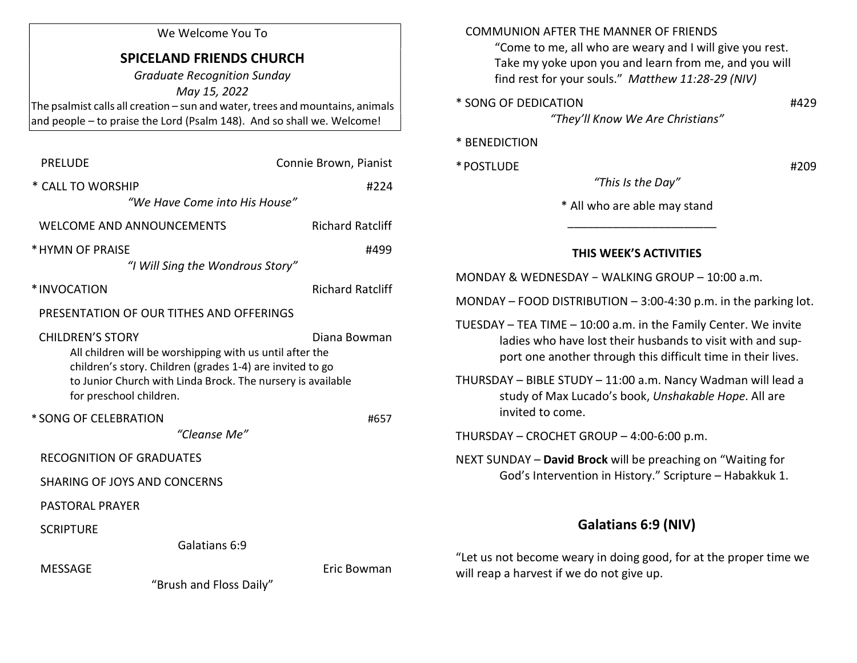### We Welcome You To

# SPICELAND FRIENDS CHURCH

Graduate Recognition Sunday May 15, 2022 The psalmist calls all creation – sun and water, trees and mountains, animals and people – to praise the Lord (Psalm 148). And so shall we. Welcome!

| <b>PRELUDE</b>                                                                                                                                                                                                                                             |                                  | Connie Brown, Pianist   |  |
|------------------------------------------------------------------------------------------------------------------------------------------------------------------------------------------------------------------------------------------------------------|----------------------------------|-------------------------|--|
| * CALL TO WORSHIP                                                                                                                                                                                                                                          |                                  | #224                    |  |
|                                                                                                                                                                                                                                                            | "We Have Come into His House"    |                         |  |
| <b>WELCOME AND ANNOUNCEMENTS</b>                                                                                                                                                                                                                           |                                  | <b>Richard Ratcliff</b> |  |
| * HYMN OF PRAISE                                                                                                                                                                                                                                           |                                  | #499                    |  |
|                                                                                                                                                                                                                                                            | "I Will Sing the Wondrous Story" |                         |  |
| *INVOCATION                                                                                                                                                                                                                                                |                                  | <b>Richard Ratcliff</b> |  |
| PRESENTATION OF OUR TITHES AND OFFERINGS                                                                                                                                                                                                                   |                                  |                         |  |
| <b>CHILDREN'S STORY</b><br>Diana Bowman<br>All children will be worshipping with us until after the<br>children's story. Children (grades 1-4) are invited to go<br>to Junior Church with Linda Brock. The nursery is available<br>for preschool children. |                                  |                         |  |
| * SONG OF CELEBRATION                                                                                                                                                                                                                                      |                                  | #657                    |  |
|                                                                                                                                                                                                                                                            | "Cleanse Me"                     |                         |  |
| <b>RECOGNITION OF GRADUATES</b>                                                                                                                                                                                                                            |                                  |                         |  |
| <b>SHARING OF JOYS AND CONCERNS</b>                                                                                                                                                                                                                        |                                  |                         |  |
| <b>PASTORAL PRAYER</b>                                                                                                                                                                                                                                     |                                  |                         |  |
| <b>SCRIPTURE</b>                                                                                                                                                                                                                                           |                                  |                         |  |
|                                                                                                                                                                                                                                                            | Galatians 6:9                    |                         |  |
| <b>MESSAGE</b>                                                                                                                                                                                                                                             |                                  | Eric Bowman             |  |

COMMUNION AFTER THE MANNER OF FRIENDS

 "Come to me, all who are weary and I will give you rest. Take my yoke upon you and learn from me, and you will find rest for your souls." Matthew 11:28-29 (NIV)

\* SONG OF DEDICATION #429

"They'll Know We Are Christians"

#### \* BENEDICTION

\* POSTLUDE #209

\* All who are able may stand

"This Is the Day"

## THIS WEEK'S ACTIVITIES

| MONDAY & WEDNESDAY - WALKING GROUP - 10:00 a.m. |  |
|-------------------------------------------------|--|
|                                                 |  |

 $\frac{1}{2}$  ,  $\frac{1}{2}$  ,  $\frac{1}{2}$  ,  $\frac{1}{2}$  ,  $\frac{1}{2}$  ,  $\frac{1}{2}$  ,  $\frac{1}{2}$  ,  $\frac{1}{2}$  ,  $\frac{1}{2}$  ,  $\frac{1}{2}$  ,  $\frac{1}{2}$  ,  $\frac{1}{2}$  ,  $\frac{1}{2}$  ,  $\frac{1}{2}$  ,  $\frac{1}{2}$  ,  $\frac{1}{2}$  ,  $\frac{1}{2}$  ,  $\frac{1}{2}$  ,  $\frac{1$ 

MONDAY – FOOD DISTRIBUTION – 3:00-4:30 p.m. in the parking lot.

TUESDAY – TEA TIME – 10:00 a.m. in the Family Center. We invite ladies who have lost their husbands to visit with and sup port one another through this difficult time in their lives.

THURSDAY – BIBLE STUDY – 11:00 a.m. Nancy Wadman will lead a study of Max Lucado's book, Unshakable Hope. All are invited to come.

THURSDAY – CROCHET GROUP – 4:00-6:00 p.m.

NEXT SUNDAY – David Brock will be preaching on "Waiting for God's Intervention in History." Scripture – Habakkuk 1.

# Galatians 6:9 (NIV)

"Let us not become weary in doing good, for at the proper time we will reap a harvest if we do not give up.

"Brush and Floss Daily"